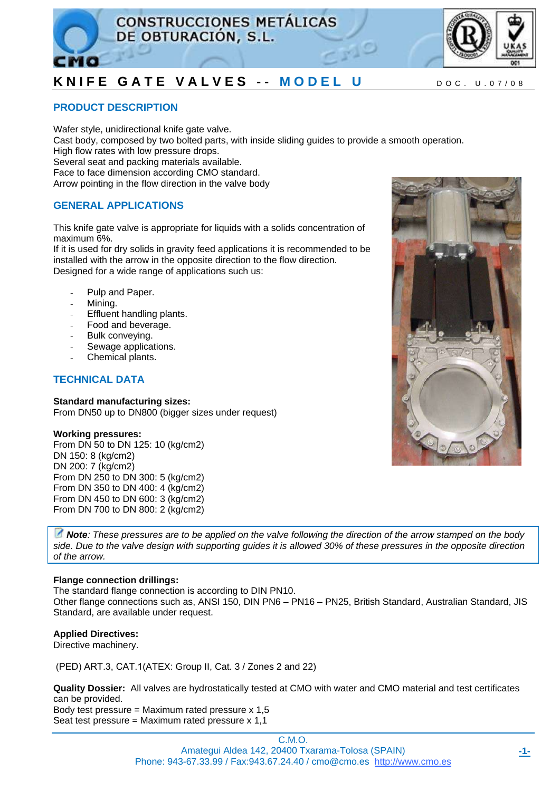



### **PRODUCT DESCRIPTION**

Wafer style, unidirectional knife gate valve. Cast body, composed by two bolted parts, with inside sliding guides to provide a smooth operation. High flow rates with low pressure drops. Several seat and packing materials available. Face to face dimension according CMO standard. Arrow pointing in the flow direction in the valve body

### **GENERAL APPLICATIONS**

This knife gate valve is appropriate for liquids with a solids concentration of maximum 6%.

If it is used for dry solids in gravity feed applications it is recommended to be installed with the arrow in the opposite direction to the flow direction. Designed for a wide range of applications such us:

- Pulp and Paper.
- Mining.
- Effluent handling plants.
- Food and beverage.
- Bulk conveving.
- Sewage applications.
- Chemical plants.

### **TECHNICAL DATA**

#### **Standard manufacturing sizes:**

From DN50 up to DN800 (bigger sizes under request)

#### **Working pressures:**

From DN 50 to DN 125: 10 (kg/cm2) DN 150: 8 (kg/cm2) DN 200: 7 (kg/cm2) From DN 250 to DN 300: 5 (kg/cm2) From DN 350 to DN 400: 4 (kg/cm2) From DN 450 to DN 600: 3 (kg/cm2) From DN 700 to DN 800: 2 (kg/cm2)

*Note: These pressures are to be applied on the valve following the direction of the arrow stamped on the body side. Due to the valve design with supporting guides it is allowed 30% of these pressures in the opposite direction of the arrow.* 

### **Flange connection drillings:**

The standard flange connection is according to DIN PN10. Other flange connections such as, ANSI 150, DIN PN6 – PN16 – PN25, British Standard, Australian Standard, JIS Standard, are available under request.

### **Applied Directives:**

Directive machinery.

(PED) ART.3, CAT.1(ATEX: Group II, Cat. 3 / Zones 2 and 22)

**Quality Dossier:** All valves are hydrostatically tested at CMO with water and CMO material and test certificates can be provided. Body test pressure = Maximum rated pressure  $x 1.5$ 

Seat test pressure = Maximum rated pressure x 1,1

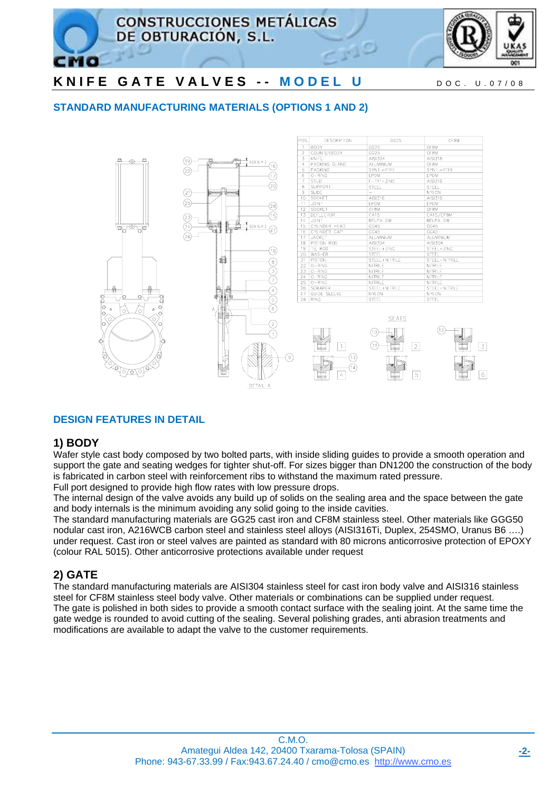

### **STANDARD MANUFACTURING MATERIALS (OPTIONS 1 AND 2)**



### **DESIGN FEATURES IN DETAIL**

### **1) BODY**

Wafer style cast body composed by two bolted parts, with inside sliding guides to provide a smooth operation and support the gate and seating wedges for tighter shut-off. For sizes bigger than DN1200 the construction of the body is fabricated in carbon steel with reinforcement ribs to withstand the maximum rated pressure. Full port designed to provide high flow rates with low pressure drops.

The internal design of the valve avoids any build up of solids on the sealing area and the space between the gate and body internals is the minimum avoiding any solid going to the inside cavities.

The standard manufacturing materials are GG25 cast iron and CF8M stainless steel. Other materials like GGG50 nodular cast iron, A216WCB carbon steel and stainless steel alloys (AISI316Ti, Duplex, 254SMO, Uranus B6 ….) under request. Cast iron or steel valves are painted as standard with 80 microns anticorrosive protection of EPOXY (colour RAL 5015). Other anticorrosive protections available under request

### **2) GATE**

The standard manufacturing materials are AISI304 stainless steel for cast iron body valve and AISI316 stainless steel for CF8M stainless steel body valve. Other materials or combinations can be supplied under request. The gate is polished in both sides to provide a smooth contact surface with the sealing joint. At the same time the gate wedge is rounded to avoid cutting of the sealing. Several polishing grades, anti abrasion treatments and modifications are available to adapt the valve to the customer requirements.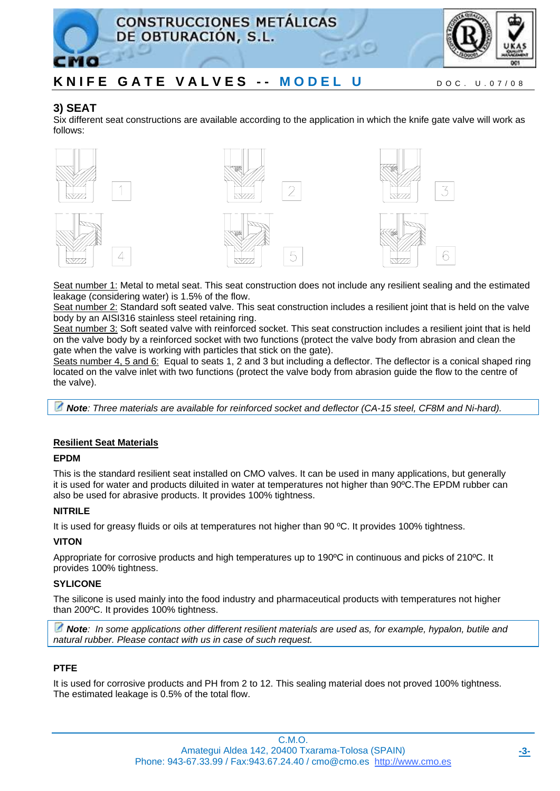

### **3) SEAT**

Six different seat constructions are available according to the application in which the knife gate valve will work as follows:





 $\left| \right|$ 





Seat number 1: Metal to metal seat. This seat construction does not include any resilient sealing and the estimated leakage (considering water) is 1.5% of the flow.

Seat number 2: Standard soft seated valve. This seat construction includes a resilient joint that is held on the valve body by an AISI316 stainless steel retaining ring.

Seat number 3: Soft seated valve with reinforced socket. This seat construction includes a resilient joint that is held on the valve body by a reinforced socket with two functions (protect the valve body from abrasion and clean the gate when the valve is working with particles that stick on the gate).

Seats number 4, 5 and 6: Equal to seats 1, 2 and 3 but including a deflector. The deflector is a conical shaped ring located on the valve inlet with two functions (protect the valve body from abrasion guide the flow to the centre of the valve).

*Note: Three materials are available for reinforced socket and deflector (CA-15 steel, CF8M and Ni-hard).* 

### **Resilient Seat Materials**

### **EPDM**

This is the standard resilient seat installed on CMO valves. It can be used in many applications, but generally it is used for water and products diluited in water at temperatures not higher than 90ºC.The EPDM rubber can also be used for abrasive products. It provides 100% tightness.

### **NITRILE**

It is used for greasy fluids or oils at temperatures not higher than 90 ºC. It provides 100% tightness.

### **VITON**

Appropriate for corrosive products and high temperatures up to 190ºC in continuous and picks of 210ºC. It provides 100% tightness.

### **SYLICONE**

The silicone is used mainly into the food industry and pharmaceutical products with temperatures not higher than 200ºC. It provides 100% tightness.

*Note: In some applications other different resilient materials are used as, for example, hypalon, butile and natural rubber. Please contact with us in case of such request.* 

### **PTFE**

It is used for corrosive products and PH from 2 to 12. This sealing material does not proved 100% tightness. The estimated leakage is 0.5% of the total flow.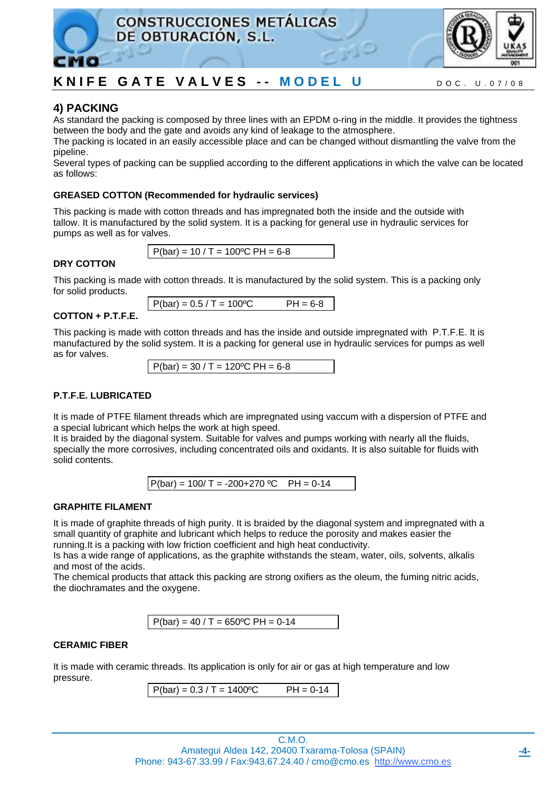



### **4) PACKING**

As standard the packing is composed by three lines with an EPDM o-ring in the middle. It provides the tightness between the body and the gate and avoids any kind of leakage to the atmosphere.

The packing is located in an easily accessible place and can be changed without dismantling the valve from the pipeline.

Several types of packing can be supplied according to the different applications in which the valve can be located as follows:

### **GREASED COTTON (Recommended for hydraulic services)**

This packing is made with cotton threads and has impregnated both the inside and the outside with tallow. It is manufactured by the solid system. It is a packing for general use in hydraulic services for pumps as well as for valves.



### **DRY COTTON**

This packing is made with cotton threads. It is manufactured by the solid system. This is a packing only for solid products.

 $P(bar) = 0.5 / T = 100°C$  PH = 6-8

### **COTTON + P.T.F.E.**

This packing is made with cotton threads and has the inside and outside impregnated with P.T.F.E. It is manufactured by the solid system. It is a packing for general use in hydraulic services for pumps as well as for valves.

 $P(bar) = 30 / T = 120$ <sup>o</sup>C PH = 6-8

### **P.T.F.E. LUBRICATED**

It is made of PTFE filament threads which are impregnated using vaccum with a dispersion of PTFE and a special lubricant which helps the work at high speed.

It is braided by the diagonal system. Suitable for valves and pumps working with nearly all the fluids, specially the more corrosives, including concentrated oils and oxidants. It is also suitable for fluids with solid contents.



### **GRAPHITE FILAMENT**

It is made of graphite threads of high purity. It is braided by the diagonal system and impregnated with a small quantity of graphite and lubricant which helps to reduce the porosity and makes easier the running.It is a packing with low friction coefficient and high heat conductivity.

Is has a wide range of applications, as the graphite withstands the steam, water, oils, solvents, alkalis and most of the acids.

The chemical products that attack this packing are strong oxifiers as the oleum, the fuming nitric acids, the diochramates and the oxygene.

 $P(bar) = 40 / T = 650$ <sup>o</sup>C PH = 0-14

### **CERAMIC FIBER**

It is made with ceramic threads. Its application is only for air or gas at high temperature and low pressure.

 $P(bar) = 0.3 / T = 1400°C$  PH = 0-14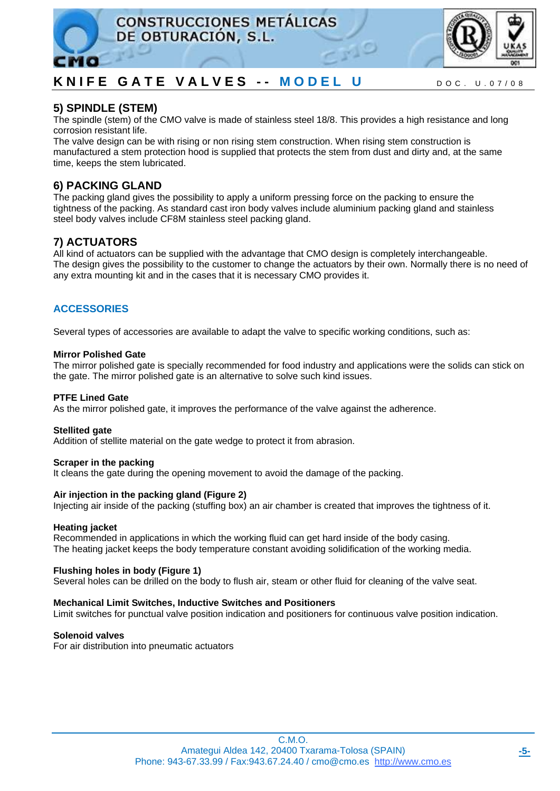



### **5) SPINDLE (STEM)**

The spindle (stem) of the CMO valve is made of stainless steel 18/8. This provides a high resistance and long corrosion resistant life.

The valve design can be with rising or non rising stem construction. When rising stem construction is manufactured a stem protection hood is supplied that protects the stem from dust and dirty and, at the same time, keeps the stem lubricated.

### **6) PACKING GLAND**

The packing gland gives the possibility to apply a uniform pressing force on the packing to ensure the tightness of the packing. As standard cast iron body valves include aluminium packing gland and stainless steel body valves include CF8M stainless steel packing gland.

### **7) ACTUATORS**

All kind of actuators can be supplied with the advantage that CMO design is completely interchangeable. The design gives the possibility to the customer to change the actuators by their own. Normally there is no need of any extra mounting kit and in the cases that it is necessary CMO provides it.

### **ACCESSORIES**

Several types of accessories are available to adapt the valve to specific working conditions, such as:

#### **Mirror Polished Gate**

The mirror polished gate is specially recommended for food industry and applications were the solids can stick on the gate. The mirror polished gate is an alternative to solve such kind issues.

### **PTFE Lined Gate**

As the mirror polished gate, it improves the performance of the valve against the adherence.

#### **Stellited gate**

Addition of stellite material on the gate wedge to protect it from abrasion.

#### **Scraper in the packing**

It cleans the gate during the opening movement to avoid the damage of the packing.

### **Air injection in the packing gland (Figure 2)**

Injecting air inside of the packing (stuffing box) an air chamber is created that improves the tightness of it.

#### **Heating jacket**

Recommended in applications in which the working fluid can get hard inside of the body casing. The heating jacket keeps the body temperature constant avoiding solidification of the working media.

### **Flushing holes in body (Figure 1)**

Several holes can be drilled on the body to flush air, steam or other fluid for cleaning of the valve seat.

#### **Mechanical Limit Switches, Inductive Switches and Positioners**

Limit switches for punctual valve position indication and positioners for continuous valve position indication.

**Solenoid valves** 

For air distribution into pneumatic actuators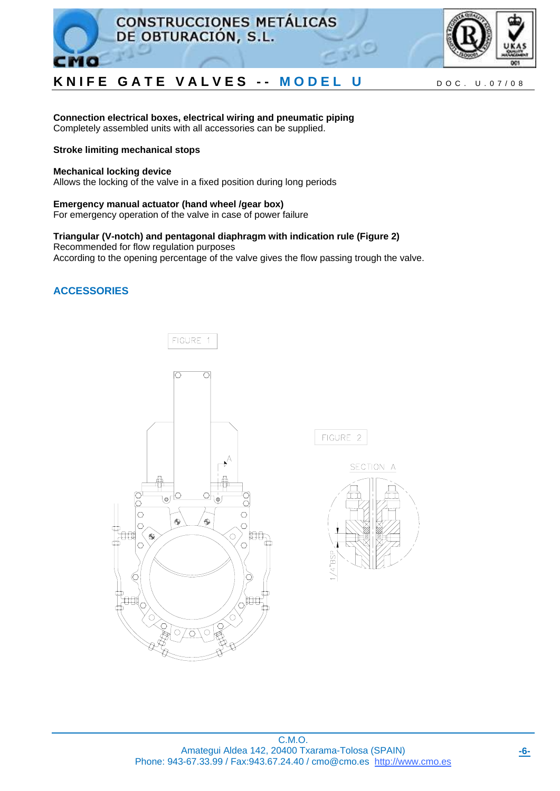



**Connection electrical boxes, electrical wiring and pneumatic piping**  Completely assembled units with all accessories can be supplied.

### **Stroke limiting mechanical stops**

#### **Mechanical locking device**

Allows the locking of the valve in a fixed position during long periods

**Emergency manual actuator (hand wheel /gear box)**  For emergency operation of the valve in case of power failure

**Triangular (V-notch) and pentagonal diaphragm with indication rule (Figure 2)**  Recommended for flow regulation purposes According to the opening percentage of the valve gives the flow passing trough the valve.

### **ACCESSORIES**



FIGURE 2

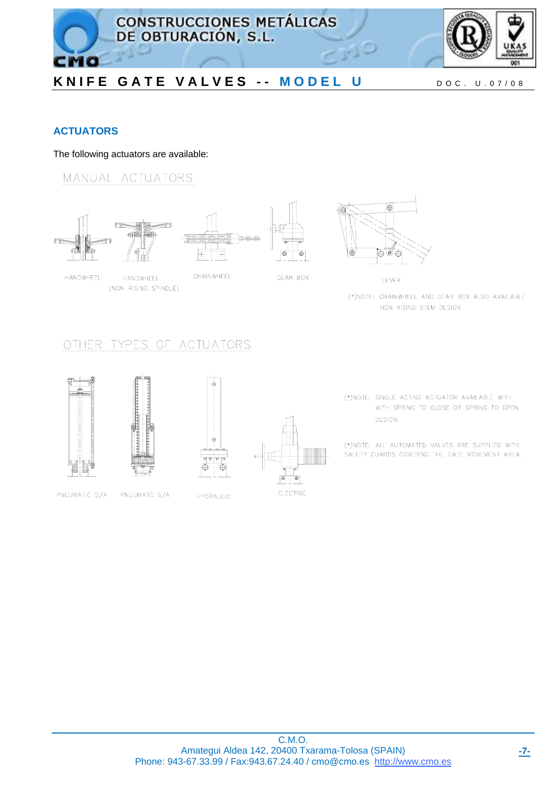

### **ACTUATORS**

CMO

The following actuators are available:

MANUAL ACTUATORS



HANDWHEEL

**HANDWHFFL** (NON RISING SPINDLE)



(\*)NOTE: CHAINWHEEL AND GEAR BOX ALSO AVAILABLE NON RISING STEM DESIGN

## OTHER TYPES OF ACTUATORS







(\*)NOTE: SINGLE ACTING ACTUATOR AVAILABLE WITH WITH SPRING TO CLOSE OR SPRING TO OPEN DESIGN.

(\*)NOTE: ALL AUTOMATED VALVES ARE SUPPLIED WITH SAFETY GUARDS COVERING THE GATE MOVEMENT AREA.



PNEUMATC S/A

**HYDRAULIC** 

C.M.O. Amategui Aldea 142, 20400 Txarama-Tolosa (SPAIN) Phone: 943-67.33.99 / Fax:943.67.24.40 / cmo@cmo.es http://www.cmo.es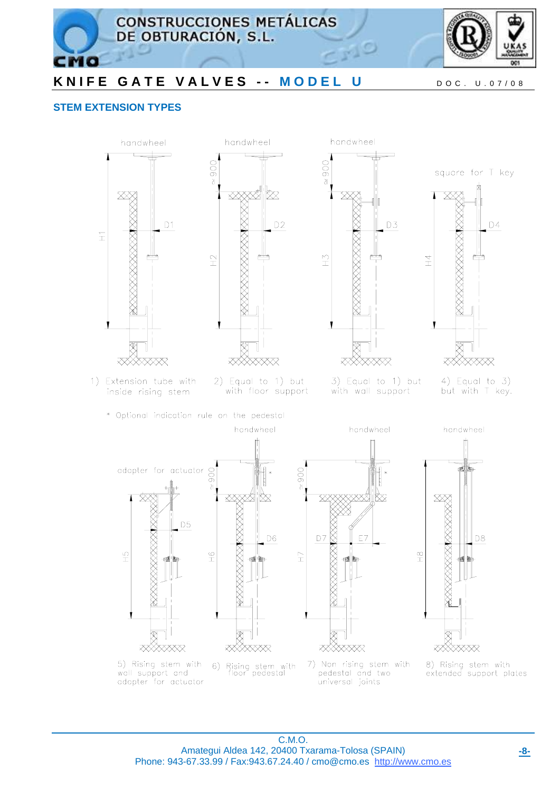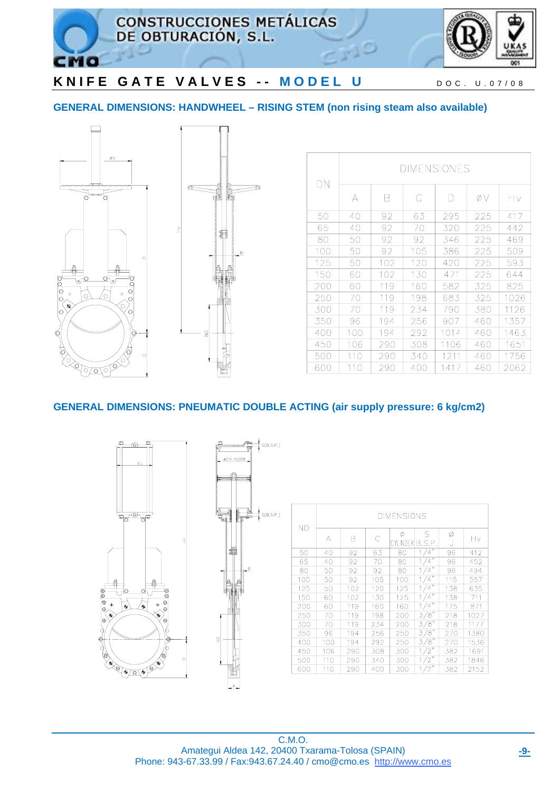

### **GENERAL DIMENSIONS: HANDWHEEL – RISING STEM (non rising steam also available)**





| DΝ  | <b>DIMENSIONES</b> |     |     |      |     |      |  |  |  |
|-----|--------------------|-----|-----|------|-----|------|--|--|--|
|     | А                  | Β   | С   | D    | øν  | Ηv   |  |  |  |
| 50  | 40                 | 92  | 63  | 295  | 225 | 417  |  |  |  |
| 65  | 40                 | 92  | 70  | 320  | 225 | 442  |  |  |  |
| 80  | 50                 | 92  | 92  | 346  | 225 | 469  |  |  |  |
| 100 | 50                 | 92  | 105 | 386  | 225 | 509  |  |  |  |
| 125 | 50                 | 102 | 120 | 420  | 225 | 593  |  |  |  |
| 150 | 60                 | 102 | 130 | 471  | 225 | 644  |  |  |  |
| 200 | 60                 | 119 | 160 | 582  | 325 | 825  |  |  |  |
| 250 | 70                 | 119 | 198 | 683  | 325 | 1026 |  |  |  |
| 300 | 70                 | 119 | 234 | 790  | 380 | 1126 |  |  |  |
| 350 | 96                 | 194 | 256 | 907  | 460 | 1357 |  |  |  |
| 400 | 100                | 194 | 292 | 1014 | 460 | 1463 |  |  |  |
| 450 | 106                | 290 | 308 | 1106 | 460 | 1651 |  |  |  |
| 500 | 110                | 290 | 340 | 1211 | 460 | 1756 |  |  |  |
| 600 | 110                | 290 | 400 | 1417 | 460 | 2062 |  |  |  |

### **GENERAL DIMENSIONS: PNEUMATIC DOUBLE ACTING (air supply pressure: 6 kg/cm2)**



| ΝD  | <b>DIMENSIONS</b> |     |     |                |                      |        |      |  |  |
|-----|-------------------|-----|-----|----------------|----------------------|--------|------|--|--|
|     | А                 | В   |     | Ø<br>CYLINDERI | S<br>B.S.P.          | Ø<br>J | Hν   |  |  |
| 50  | 40                | 92  | 63  | 80             | $\overline{4}$       | 96     | 412  |  |  |
| 65  | 40                | 92  | 70  | 80             | $\overline{4}$       | 96     | 452  |  |  |
| 80  | 50                | 92  | 92  | 80             | 4                    | 96     | 494  |  |  |
| 100 | 50                | 92  | 105 | 100            | $\overline{4}$       | 115    | 557  |  |  |
| 125 | 50                | 102 | 120 | 125            | ,,<br>$\overline{4}$ | 138    | 635  |  |  |
| 150 | 60                | 102 | 130 | 125            | $\overline{4}$       | 138    | 711  |  |  |
| 200 | 60                | 119 | 160 | 160            | ,,<br>$\overline{4}$ | 175    | 871  |  |  |
| 250 | 70                | 119 | 198 | 200            | 3/8"                 | 218    | 1027 |  |  |
| 300 | 70                | 119 | 234 | 200            | $3/8$ <sup>7</sup>   | 218    | 1177 |  |  |
| 350 | 96                | 194 | 256 | 250            | 3/8"                 | 270    | 1380 |  |  |
| 400 | 100               | 194 | 292 | 250            | ′8″<br>3             | 270    | 1536 |  |  |
| 450 | 106               | 290 | 308 | 300            | 2                    | 382    | 1691 |  |  |
| 500 | 110               | 290 | 340 | 300            | 2                    | 382    | 1846 |  |  |
| 600 | 110               | 290 | 400 | 300            | 2                    | 382    | 2152 |  |  |